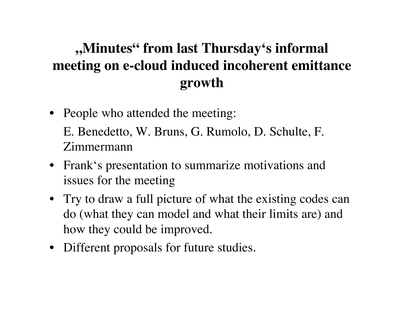#### **"Minutes" from last Thursday's informal meeting on e-cloud induced incoherent emittance growth**

- People who attended the meeting: E. Benedetto, W. Bruns, G. Rumolo, D. Schulte, F. Zimmermann
- Frank's presentation to summarize motivations and issues for the meeting
- Try to draw a full picture of what the existing codes can do (what they can model and what their limits are) and how they could be improved.
- Different proposals for future studies.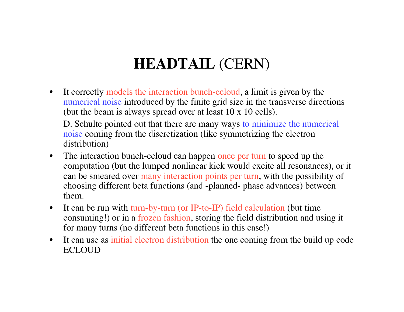## **HEADTAIL** (CERN)

• It correctly models the interaction bunch-ecloud, a limit is given by the numerical noise introduced by the finite grid size in the transverse directions (but the beam is always spread over at least 10 x 10 cells).

D. Schulte pointed out that there are many ways to minimize the numerical noise coming from the discretization (like symmetrizing the electron distribution)

- The interaction bunch-ecloud can happen once per turn to speed up the computation (but the lumped nonlinear kick would excite all resonances), or it can be smeared over many interaction points per turn, with the possibility of choosing different beta functions (and -planned- phase advances) between them.
- It can be run with turn-by-turn (or IP-to-IP) field calculation (but time consuming!) or in a frozen fashion, storing the field distribution and using it for many turns (no different beta functions in this case!)
- It can use as initial electron distribution the one coming from the build up code **ECLOUD**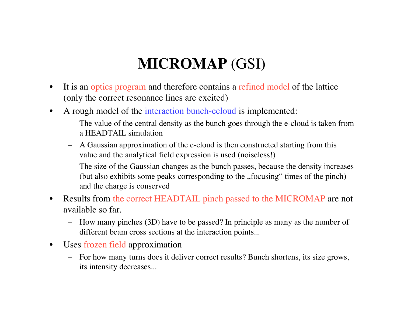# **MICROMAP** (GSI)

- It is an optics program and therefore contains a refined model of the lattice (only the correct resonance lines are excited)
- A rough model of the interaction bunch-ecloud is implemented:
	- The value of the central density as the bunch goes through the e-cloud is taken from a HEADTAIL simulation
	- A Gaussian approximation of the e-cloud is then constructed starting from this value and the analytical field expression is used (noiseless!)
	- The size of the Gaussian changes as the bunch passes, because the density increases (but also exhibits some peaks corresponding to the "focusing" times of the pinch") and the charge is conserved
- Results from the correct HEADTAIL pinch passed to the MICROMAP are not available so far.
	- How many pinches (3D) have to be passed? In principle as many as the number of different beam cross sections at the interaction points...
- Uses frozen field approximation
	- For how many turns does it deliver correct results? Bunch shortens, its size grows, its intensity decreases...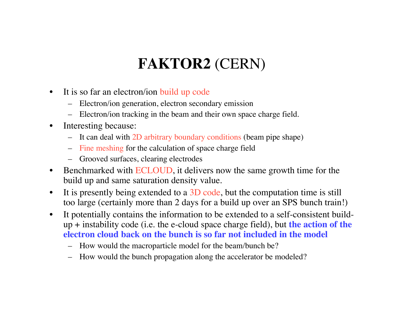# **FAKTOR2** (CERN)

- It is so far an electron/ion build up code
	- Electron/ion generation, electron secondary emission
	- Electron/ion tracking in the beam and their own space charge field.
- Interesting because:
	- It can deal with 2D arbitrary boundary conditions (beam pipe shape)
	- Fine meshing for the calculation of space charge field
	- Grooved surfaces, clearing electrodes
- Benchmarked with ECLOUD, it delivers now the same growth time for the build up and same saturation density value.
- It is presently being extended to a 3D code, but the computation time is still too large (certainly more than 2 days for a build up over an SPS bunch train!)
- It potentially contains the information to be extended to a self-consistent buildup + instability code (i.e. the e-cloud space charge field), but **the action of the electron cloud back on the bunch is so far not included in the model**
	- How would the macroparticle model for the beam/bunch be?
	- How would the bunch propagation along the accelerator be modeled?